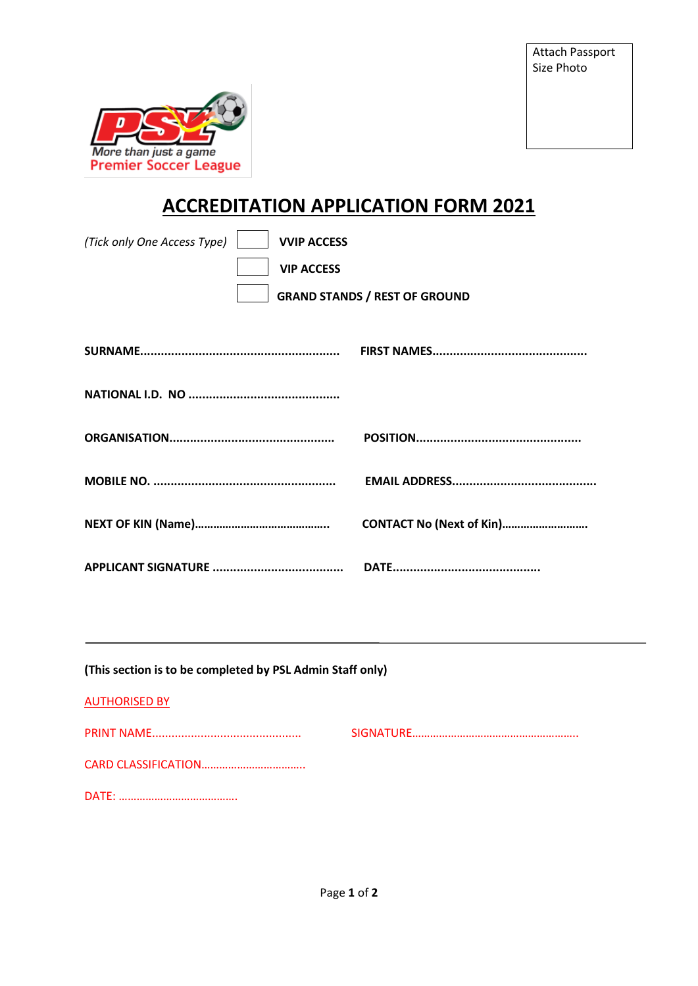

## **ACCREDITATION APPLICATION FORM 2021**

| (Tick only One Access Type)<br><b>VVIP ACCESS</b><br><b>VIP ACCESS</b> | <b>GRAND STANDS / REST OF GROUND</b> |
|------------------------------------------------------------------------|--------------------------------------|
|                                                                        |                                      |
|                                                                        |                                      |
|                                                                        |                                      |
|                                                                        | CONTACT No (Next of Kin)             |
|                                                                        |                                      |
| (This section is to be completed by PSL Admin Staff only)              |                                      |
| <b>AUTHORISED BY</b>                                                   |                                      |
|                                                                        |                                      |
|                                                                        |                                      |
|                                                                        |                                      |